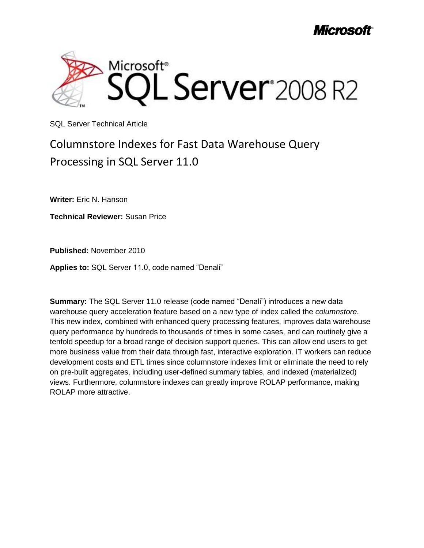## *Microso*



SQL Server Technical Article

# Columnstore Indexes for Fast Data Warehouse Query Processing in SQL Server 11.0

**Writer:** Eric N. Hanson

**Technical Reviewer:** Susan Price

**Published:** November 2010

**Applies to:** SQL Server 11.0, code named "Denali"

**Summary:** The SQL Server 11.0 release (code named "Denali") introduces a new data warehouse query acceleration feature based on a new type of index called the *columnstore*. This new index, combined with enhanced query processing features, improves data warehouse query performance by hundreds to thousands of times in some cases, and can routinely give a tenfold speedup for a broad range of decision support queries. This can allow end users to get more business value from their data through fast, interactive exploration. IT workers can reduce development costs and ETL times since columnstore indexes limit or eliminate the need to rely on pre-built aggregates, including user-defined summary tables, and indexed (materialized) views. Furthermore, columnstore indexes can greatly improve ROLAP performance, making ROLAP more attractive.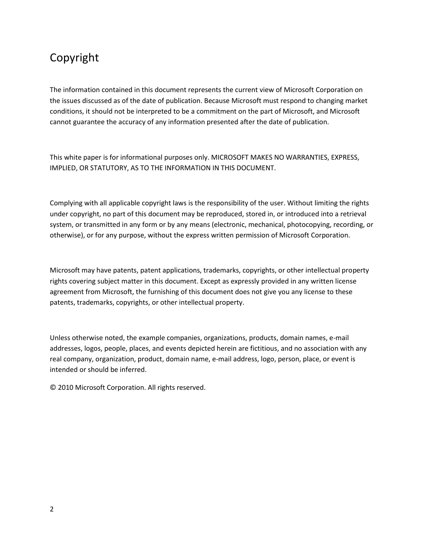### Copyright

The information contained in this document represents the current view of Microsoft Corporation on the issues discussed as of the date of publication. Because Microsoft must respond to changing market conditions, it should not be interpreted to be a commitment on the part of Microsoft, and Microsoft cannot guarantee the accuracy of any information presented after the date of publication.

This white paper is for informational purposes only. MICROSOFT MAKES NO WARRANTIES, EXPRESS, IMPLIED, OR STATUTORY, AS TO THE INFORMATION IN THIS DOCUMENT.

Complying with all applicable copyright laws is the responsibility of the user. Without limiting the rights under copyright, no part of this document may be reproduced, stored in, or introduced into a retrieval system, or transmitted in any form or by any means (electronic, mechanical, photocopying, recording, or otherwise), or for any purpose, without the express written permission of Microsoft Corporation.

Microsoft may have patents, patent applications, trademarks, copyrights, or other intellectual property rights covering subject matter in this document. Except as expressly provided in any written license agreement from Microsoft, the furnishing of this document does not give you any license to these patents, trademarks, copyrights, or other intellectual property.

Unless otherwise noted, the example companies, organizations, products, domain names, e-mail addresses, logos, people, places, and events depicted herein are fictitious, and no association with any real company, organization, product, domain name, e-mail address, logo, person, place, or event is intended or should be inferred.

© 2010 Microsoft Corporation. All rights reserved.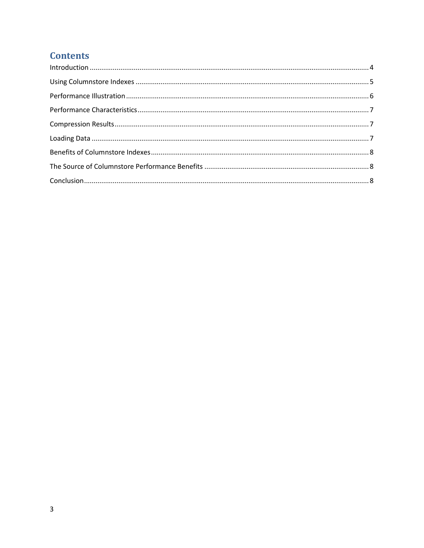### **Contents**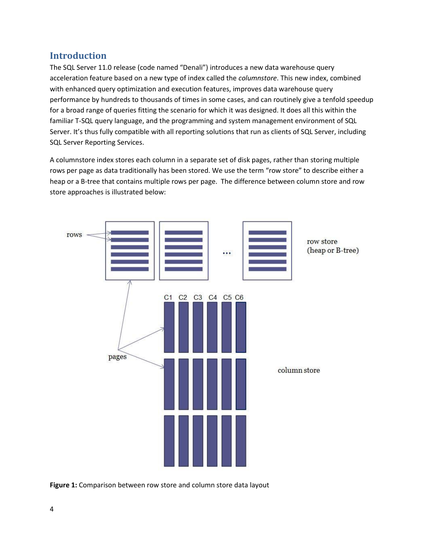#### <span id="page-3-0"></span>**Introduction**

The SQL Server 11.0 release (code named "Denali") introduces a new data warehouse query acceleration feature based on a new type of index called the *columnstore*. This new index, combined with enhanced query optimization and execution features, improves data warehouse query performance by hundreds to thousands of times in some cases, and can routinely give a tenfold speedup for a broad range of queries fitting the scenario for which it was designed. It does all this within the familiar T-SQL query language, and the programming and system management environment of SQL Server. It's thus fully compatible with all reporting solutions that run as clients of SQL Server, including SQL Server Reporting Services.

A columnstore index stores each column in a separate set of disk pages, rather than storing multiple rows per page as data traditionally has been stored. We use the term "row store" to describe either a heap or a B-tree that contains multiple rows per page. The difference between column store and row store approaches is illustrated below:



**Figure 1:** Comparison between row store and column store data layout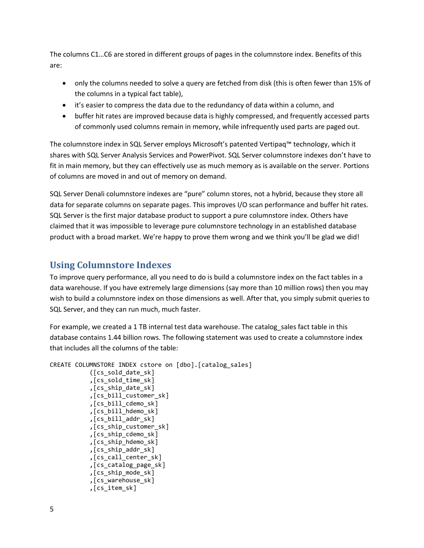The columns C1…C6 are stored in different groups of pages in the columnstore index. Benefits of this are:

- only the columns needed to solve a query are fetched from disk (this is often fewer than 15% of the columns in a typical fact table),
- it's easier to compress the data due to the redundancy of data within a column, and
- buffer hit rates are improved because data is highly compressed, and frequently accessed parts of commonly used columns remain in memory, while infrequently used parts are paged out.

The columnstore index in SQL Server employs Microsoft's patented Vertipaq™ technology, which it shares with SQL Server Analysis Services and PowerPivot. SQL Server columnstore indexes don't have to fit in main memory, but they can effectively use as much memory as is available on the server. Portions of columns are moved in and out of memory on demand.

SQL Server Denali columnstore indexes are "pure" column stores, not a hybrid, because they store all data for separate columns on separate pages. This improves I/O scan performance and buffer hit rates. SQL Server is the first major database product to support a pure columnstore index. Others have claimed that it was impossible to leverage pure columnstore technology in an established database product with a broad market. We're happy to prove them wrong and we think you'll be glad we did!

#### <span id="page-4-0"></span>**Using Columnstore Indexes**

To improve query performance, all you need to do is build a columnstore index on the fact tables in a data warehouse. If you have extremely large dimensions (say more than 10 million rows) then you may wish to build a columnstore index on those dimensions as well. After that, you simply submit queries to SQL Server, and they can run much, much faster.

For example, we created a 1 TB internal test data warehouse. The catalog sales fact table in this database contains 1.44 billion rows. The following statement was used to create a columnstore index that includes all the columns of the table:

```
CREATE COLUMNSTORE INDEX cstore on [dbo].[catalog_sales]
            ([cs_sold_date_sk]
            ,[cs_sold_time_sk]
            ,[cs_ship_date_sk]
            ,[cs_bill_customer_sk]
            ,[cs_bill_cdemo_sk]
            ,[cs_bill_hdemo_sk]
            ,[cs_bill_addr_sk]
            ,[cs_ship_customer_sk]
            ,[cs_ship_cdemo_sk]
            ,[cs_ship_hdemo_sk]
            ,[cs_ship_addr_sk]
           ,[cs call center sk]
            ,[cs_catalog_page_sk]
            ,[cs_ship_mode_sk]
            ,[cs_warehouse_sk]
            ,[cs_item_sk]
```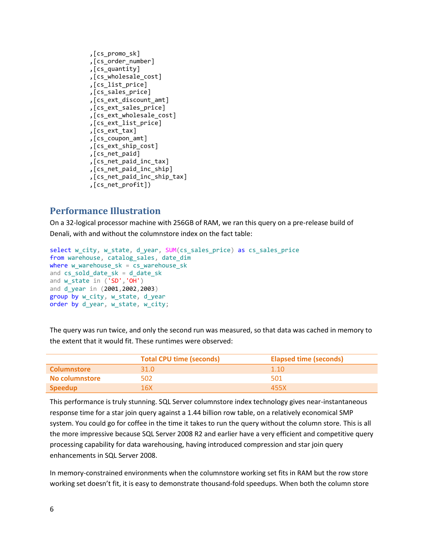```
 ,[cs_promo_sk]
 ,[cs_order_number]
 ,[cs_quantity]
 ,[cs_wholesale_cost]
 ,[cs_list_price]
 ,[cs_sales_price]
 ,[cs_ext_discount_amt]
,[cs ext sales price]
, [cs ext wholesale cost]
 ,[cs_ext_list_price]
 ,[cs_ext_tax]
 ,[cs_coupon_amt]
, [cs ext ship cost]
 ,[cs_net_paid]
 ,[cs_net_paid_inc_tax]
 ,[cs_net_paid_inc_ship]
 ,[cs_net_paid_inc_ship_tax]
 ,[cs_net_profit])
```
#### <span id="page-5-0"></span>**Performance Illustration**

On a 32-logical processor machine with 256GB of RAM, we ran this query on a pre-release build of Denali, with and without the columnstore index on the fact table:

```
select w_city, w_state, d_year, SUM(cs_sales_price) as cs_sales_price
from warehouse, catalog_sales, date dim
where w_warehouse_sk = cs_warehouse_sk
and cs_sold_date_sk = d_date_sk
and w_state in ('SD','OH')
and d year in (2001,2002,2003)
group by w_city, w_state, d_year
order by d_year, w_state, w_city;
```
The query was run twice, and only the second run was measured, so that data was cached in memory to the extent that it would fit. These runtimes were observed:

|                    | <b>Total CPU time (seconds)</b> | <b>Elapsed time (seconds)</b> |
|--------------------|---------------------------------|-------------------------------|
| <b>Columnstore</b> | 31.O                            | 1.10                          |
| No columnstore     | 502                             | 501                           |
| <b>Speedup</b>     | 16X.                            | 455X                          |

This performance is truly stunning. SQL Server columnstore index technology gives near-instantaneous response time for a star join query against a 1.44 billion row table, on a relatively economical SMP system. You could go for coffee in the time it takes to run the query without the column store. This is all the more impressive because SQL Server 2008 R2 and earlier have a very efficient and competitive query processing capability for data warehousing, having introduced compression and star join query enhancements in SQL Server 2008.

In memory-constrained environments when the columnstore working set fits in RAM but the row store working set doesn't fit, it is easy to demonstrate thousand-fold speedups. When both the column store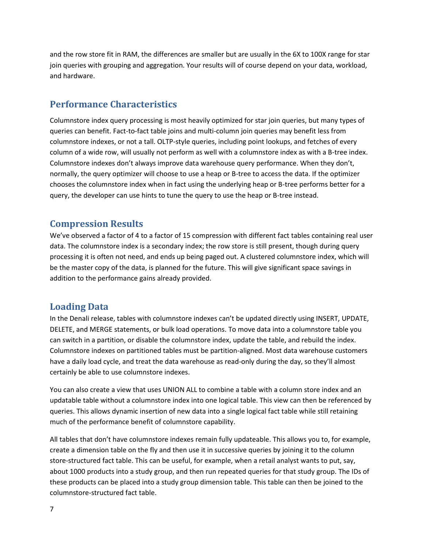and the row store fit in RAM, the differences are smaller but are usually in the 6X to 100X range for star join queries with grouping and aggregation. Your results will of course depend on your data, workload, and hardware.

#### <span id="page-6-0"></span>**Performance Characteristics**

Columnstore index query processing is most heavily optimized for star join queries, but many types of queries can benefit. Fact-to-fact table joins and multi-column join queries may benefit less from columnstore indexes, or not a tall. OLTP-style queries, including point lookups, and fetches of every column of a wide row, will usually not perform as well with a columnstore index as with a B-tree index. Columnstore indexes don't always improve data warehouse query performance. When they don't, normally, the query optimizer will choose to use a heap or B-tree to access the data. If the optimizer chooses the columnstore index when in fact using the underlying heap or B-tree performs better for a query, the developer can use hints to tune the query to use the heap or B-tree instead.

#### <span id="page-6-1"></span>**Compression Results**

We've observed a factor of 4 to a factor of 15 compression with different fact tables containing real user data. The columnstore index is a secondary index; the row store is still present, though during query processing it is often not need, and ends up being paged out. A clustered columnstore index, which will be the master copy of the data, is planned for the future. This will give significant space savings in addition to the performance gains already provided.

#### <span id="page-6-2"></span>**Loading Data**

In the Denali release, tables with columnstore indexes can't be updated directly using INSERT, UPDATE, DELETE, and MERGE statements, or bulk load operations. To move data into a columnstore table you can switch in a partition, or disable the columnstore index, update the table, and rebuild the index. Columnstore indexes on partitioned tables must be partition-aligned. Most data warehouse customers have a daily load cycle, and treat the data warehouse as read-only during the day, so they'll almost certainly be able to use columnstore indexes.

You can also create a view that uses UNION ALL to combine a table with a column store index and an updatable table without a columnstore index into one logical table. This view can then be referenced by queries. This allows dynamic insertion of new data into a single logical fact table while still retaining much of the performance benefit of columnstore capability.

All tables that don't have columnstore indexes remain fully updateable. This allows you to, for example, create a dimension table on the fly and then use it in successive queries by joining it to the column store-structured fact table. This can be useful, for example, when a retail analyst wants to put, say, about 1000 products into a study group, and then run repeated queries for that study group. The IDs of these products can be placed into a study group dimension table. This table can then be joined to the columnstore-structured fact table.